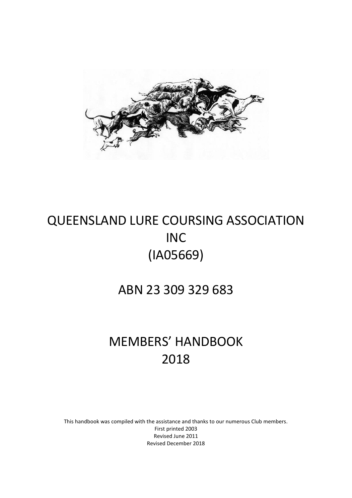

# QUEENSLAND LURE COURSING ASSOCIATION INC (IA05669)

ABN 23 309 329 683

# MEMBERS' HANDBOOK 2018

This handbook was compiled with the assistance and thanks to our numerous Club members. First printed 2003 Revised June 2011 Revised December 2018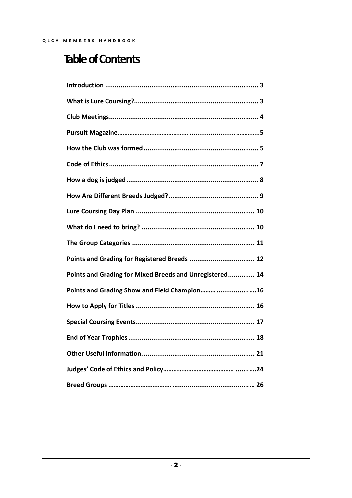# **Table of Contents**

| Points and Grading for Registered Breeds  12            |
|---------------------------------------------------------|
| Points and Grading for Mixed Breeds and Unregistered 14 |
| Points and Grading Show and Field Champion 16           |
|                                                         |
|                                                         |
|                                                         |
|                                                         |
|                                                         |
|                                                         |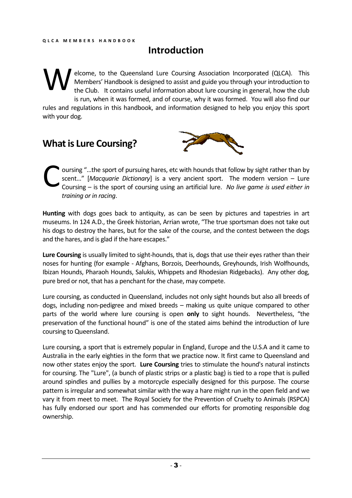# **Introduction**

elcome, to the Queensland Lure Coursing Association Incorporated (QLCA). This Members' Handbook is designed to assist and guide you through your introduction to the Club. It contains useful information about lure coursing in general, how the club is run, when it was formed, and of course, why it was formed. You will also find our rules and regulations in this handbook, and information designed to help you enjoy this sport with your dog. W

# **What is Lure Coursing?**



oursing "…the sport of pursuing hares, etc with hounds that follow by sight rather than by scent…" [*Macquarie Dictionary*] is a very ancient sport. The modern version – Lure Coursing – is the sport of coursing using an artificial lure. *No live game is used either in training or in racing*. C

**Hunting** with dogs goes back to antiquity, as can be seen by pictures and tapestries in art museums. In 124 A.D., the Greek historian, Arrian wrote, "The true sportsman does not take out his dogs to destroy the hares, but for the sake of the course, and the contest between the dogs and the hares, and is glad if the hare escapes."

**Lure Coursing** is usually limited to sight-hounds, that is, dogs that use their eyes rather than their noses for hunting (for example - Afghans, Borzois, Deerhounds, Greyhounds, Irish Wolfhounds, Ibizan Hounds, Pharaoh Hounds, Salukis, Whippets and Rhodesian Ridgebacks). Any other dog, pure bred or not, that has a penchant for the chase, may compete.

Lure coursing, as conducted in Queensland, includes not only sight hounds but also all breeds of dogs, including non-pedigree and mixed breeds – making us quite unique compared to other parts of the world where lure coursing is open **only** to sight hounds. Nevertheless, "the preservation of the functional hound" is one of the stated aims behind the introduction of lure coursing to Queensland.

Lure coursing, a sport that is extremely popular in England, Europe and the U.S.A and it came to Australia in the early eighties in the form that we practice now. It first came to Queensland and now other states enjoy the sport. **Lure Coursing** tries to stimulate the hound's natural instincts for coursing. The "Lure", (a bunch of plastic strips or a plastic bag) is tied to a rope that is pulled around spindles and pullies by a motorcycle especially designed for this purpose. The course pattern is irregular and somewhat similar with the way a hare might run in the open field and we vary it from meet to meet. The Royal Society for the Prevention of Cruelty to Animals (RSPCA) has fully endorsed our sport and has commended our efforts for promoting responsible dog ownership.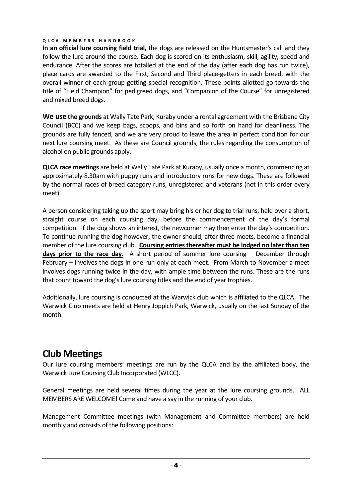**In an official lure coursing field trial,** the dogs are released on the Huntsmaster's call and they follow the lure around the course. Each dog is scored on its enthusiasm, skill, agility, speed and endurance. After the scores are totalled at the end of the day (after each dog has run twice), place cards are awarded to the First, Second and Third place-getters in each breed, with the overall winner of each group getting special recognition. These points allotted go towards the title of "Field Champion" for pedigreed dogs, and "Companion of the Course" for unregistered and mixed breed dogs.

**We use the grounds** at Wally Tate Park, Kuraby under a rental agreement with the Brisbane City Council (BCC) and we keep bags, scoops, and bins and so forth on hand for cleanliness. The grounds are fully fenced, and we are very proud to leave the area in perfect condition for our next lure coursing meet. As these are Council grounds, the rules regarding the consumption of alcohol on public grounds apply.

**QLCA race meetings** are held at Wally Tate Park at Kuraby, usually once a month, commencing at approximately 8.30am with puppy runs and introductory runs for new dogs. These are followed by the normal races of breed category runs, unregistered and veterans (not in this order every meet).

A person considering taking up the sport may bring his or her dog to trial runs, held over a short, straight course on each coursing day, before the commencement of the day's formal competition. If the dog shows an interest, the newcomer may then enter the day's competition. To continue running the dog however, the owner should, after three meets, become a financial member of the lure coursing club. **Coursing entries thereafter must be lodged no later than ten days prior to the race day.** A short period of summer lure coursing – December through February – involves the dogs in one run only at each meet. From March to November a meet involves dogs running twice in the day, with ample time between the runs. These are the runs that count toward the dog's lure coursing titles and the end of year trophies.

Additionally, lure coursing is conducted at the Warwick club which is affiliated to the QLCA. The Warwick Club meets are held at Henry Joppich Park, Warwick, usually on the last Sunday of the month.

# **Club Meetings**

Our lure coursing members' meetings are run by the QLCA and by the affiliated body, the Warwick Lure Coursing Club Incorporated (WLCC).

General meetings are held several times during the year at the lure coursing grounds. ALL MEMBERS ARE WELCOME! Come and have a say in the running of your club.

Management Committee meetings (with Management and Committee members) are held monthly and consists of the following positions: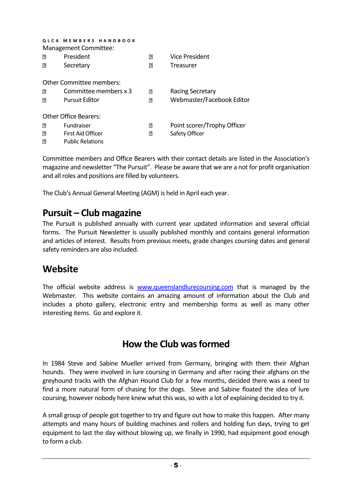| <b>MEMBERS HANDBOOK</b><br>QLCA<br>Management Committee: |                              |   |                             |  |
|----------------------------------------------------------|------------------------------|---|-----------------------------|--|
| 7                                                        | President                    | ת | Vice President              |  |
| R                                                        | Secretary                    | ת | Treasurer                   |  |
|                                                          | Other Committee members:     |   |                             |  |
| 7                                                        | Committee members x 3        | 7 | Racing Secretary            |  |
| 13                                                       | <b>Pursuit Editor</b>        | ? | Webmaster/Facebook Editor   |  |
|                                                          | <b>Other Office Bearers:</b> |   |                             |  |
| 7                                                        | <b>Fundraiser</b>            | P | Point scorer/Trophy Officer |  |
| 卪                                                        | First Aid Officer            | 卪 | Safety Officer              |  |
| 7                                                        | <b>Public Relations</b>      |   |                             |  |

Committee members and Office Bearers with their contact details are listed in the Association's magazine and newsletter "The Pursuit". Please be aware that we are a not for profit organisation and all roles and positions are filled by volunteers.

The Club's Annual General Meeting (AGM) is held in April each year.

### **Pursuit – Club magazine**

The Pursuit is published annually with current year updated information and several official forms. The Pursuit Newsletter is usually published monthly and contains general information and articles of interest. Results from previous meets, grade changes coursing dates and general safety reminders are also included.

## **Website**

The official website address is [www.queenslandlurecoursing.com](http://www.queenslandlurecoursing.com/) that is managed by the Webmaster. This website contains an amazing amount of information about the Club and includes a photo gallery, electronic entry and membership forms as well as many other interesting items. Go and explore it.

# **How the Club was formed**

In 1984 Steve and Sabine Mueller arrived from Germany, bringing with them their Afghan hounds. They were involved in lure coursing in Germany and after racing their afghans on the greyhound tracks with the Afghan Hound Club for a few months, decided there was a need to find a more natural form of chasing for the dogs. Steve and Sabine floated the idea of lure coursing, however nobody here knew what this was, so with a lot of explaining decided to try it.

A small group of people got together to try and figure out how to make this happen. After many attempts and many hours of building machines and rollers and holding fun days, trying to get equipment to last the day without blowing up, we finally in 1990, had equipment good enough to form a club.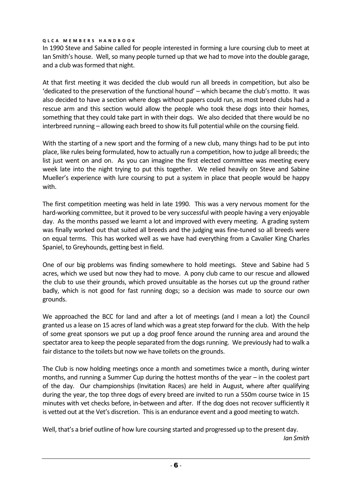In 1990 Steve and Sabine called for people interested in forming a lure coursing club to meet at Ian Smith's house. Well, so many people turned up that we had to move into the double garage, and a club was formed that night.

At that first meeting it was decided the club would run all breeds in competition, but also be 'dedicated to the preservation of the functional hound' – which became the club's motto. It was also decided to have a section where dogs without papers could run, as most breed clubs had a rescue arm and this section would allow the people who took these dogs into their homes, something that they could take part in with their dogs. We also decided that there would be no interbreed running – allowing each breed to show its full potential while on the coursing field.

With the starting of a new sport and the forming of a new club, many things had to be put into place, like rules being formulated, how to actually run a competition, how to judge all breeds; the list just went on and on. As you can imagine the first elected committee was meeting every week late into the night trying to put this together. We relied heavily on Steve and Sabine Mueller's experience with lure coursing to put a system in place that people would be happy with.

The first competition meeting was held in late 1990. This was a very nervous moment for the hard-working committee, but it proved to be very successful with people having a very enjoyable day. As the months passed we learnt a lot and improved with every meeting. A grading system was finally worked out that suited all breeds and the judging was fine-tuned so all breeds were on equal terms. This has worked well as we have had everything from a Cavalier King Charles Spaniel, to Greyhounds, getting best in field.

One of our big problems was finding somewhere to hold meetings. Steve and Sabine had 5 acres, which we used but now they had to move. A pony club came to our rescue and allowed the club to use their grounds, which proved unsuitable as the horses cut up the ground rather badly, which is not good for fast running dogs; so a decision was made to source our own grounds.

We approached the BCC for land and after a lot of meetings (and I mean a lot) the Council granted us a lease on 15 acres of land which was a great step forward for the club. With the help of some great sponsors we put up a dog proof fence around the running area and around the spectator area to keep the people separated from the dogs running. We previously had to walk a fair distance to the toilets but now we have toilets on the grounds.

The Club is now holding meetings once a month and sometimes twice a month, during winter months, and running a Summer Cup during the hottest months of the year – in the coolest part of the day. Our championships (Invitation Races) are held in August, where after qualifying during the year, the top three dogs of every breed are invited to run a 550m course twice in 15 minutes with vet checks before, in-between and after. If the dog does not recover sufficiently it is vetted out at the Vet's discretion. This is an endurance event and a good meeting to watch.

Well, that's a brief outline of how lure coursing started and progressed up to the present day. *Ian Smith*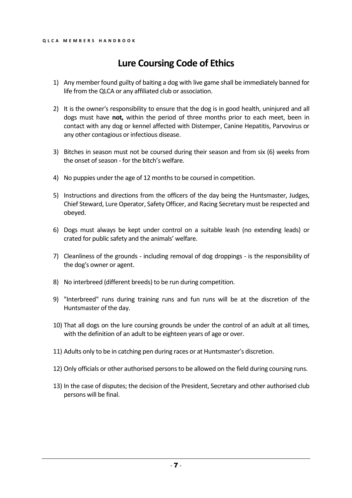# **Lure Coursing Code of Ethics**

- 1) Any member found guilty of baiting a dog with live game shall be immediately banned for life from the QLCA or any affiliated club or association.
- 2) It is the owner's responsibility to ensure that the dog is in good health, uninjured and all dogs must have **not,** within the period of three months prior to each meet, been in contact with any dog or kennel affected with Distemper, Canine Hepatitis, Parvovirus or any other contagious or infectious disease.
- 3) Bitches in season must not be coursed during their season and from six (6) weeks from the onset of season - for the bitch's welfare.
- 4) No puppies under the age of 12 months to be coursed in competition.
- 5) Instructions and directions from the officers of the day being the Huntsmaster, Judges, Chief Steward, Lure Operator, Safety Officer, and Racing Secretary must be respected and obeyed.
- 6) Dogs must always be kept under control on a suitable leash (no extending leads) or crated for public safety and the animals' welfare.
- 7) Cleanliness of the grounds including removal of dog droppings is the responsibility of the dog's owner or agent.
- 8) No interbreed (different breeds) to be run during competition.
- 9) "Interbreed" runs during training runs and fun runs will be at the discretion of the Huntsmaster of the day.
- 10) That all dogs on the lure coursing grounds be under the control of an adult at all times, with the definition of an adult to be eighteen years of age or over.
- 11) Adults only to be in catching pen during races or at Huntsmaster's discretion.
- 12) Only officials or other authorised persons to be allowed on the field during coursing runs.
- 13) In the case of disputes; the decision of the President, Secretary and other authorised club persons will be final.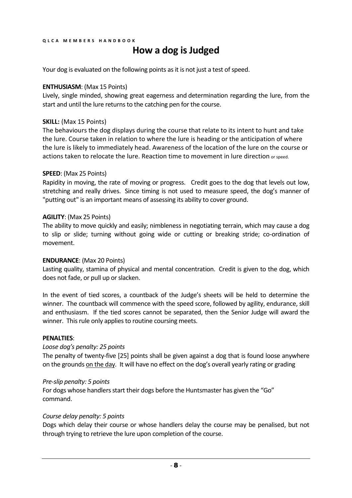# **How a dog is Judged**

Your dog is evaluated on the following points as it is not just a test of speed.

#### **ENTHUSIASM**: (Max 15 Points)

Lively, single minded, showing great eagerness and determination regarding the lure, from the start and until the lure returns to the catching pen for the course.

#### **SKILL:** (Max 15 Points)

The behaviours the dog displays during the course that relate to its intent to hunt and take the lure. Course taken in relation to where the lure is heading or the anticipation of where the lure is likely to immediately head. Awareness of the location of the lure on the course or actions taken to relocate the lure. Reaction time to movement in lure direction or speed.

#### **SPEED**: (Max 25 Points)

Rapidity in moving, the rate of moving or progress. Credit goes to the dog that levels out low, stretching and really drives. Since timing is not used to measure speed, the dog's manner of "putting out" is an important means of assessing its ability to cover ground.

#### **AGILITY**: (Max 25 Points)

The ability to move quickly and easily; nimbleness in negotiating terrain, which may cause a dog to slip or slide; turning without going wide or cutting or breaking stride; co-ordination of movement.

#### **ENDURANCE**: (Max 20 Points)

Lasting quality, stamina of physical and mental concentration. Credit is given to the dog, which does not fade, or pull up or slacken.

In the event of tied scores, a countback of the Judge's sheets will be held to determine the winner. The countback will commence with the speed score, followed by agility, endurance, skill and enthusiasm. If the tied scores cannot be separated, then the Senior Judge will award the winner. This rule only applies to routine coursing meets.

#### **PENALTIES**:

#### *Loose dog's penalty: 25 points*

The penalty of twenty-five [25] points shall be given against a dog that is found loose anywhere on the grounds on the day. It will have no effect on the dog's overall yearly rating or grading

#### *Pre-slip penalty: 5 points*

For dogs whose handlers start their dogs before the Huntsmaster has given the "Go" command.

#### *Course delay penalty: 5 points*

Dogs which delay their course or whose handlers delay the course may be penalised, but not through trying to retrieve the lure upon completion of the course.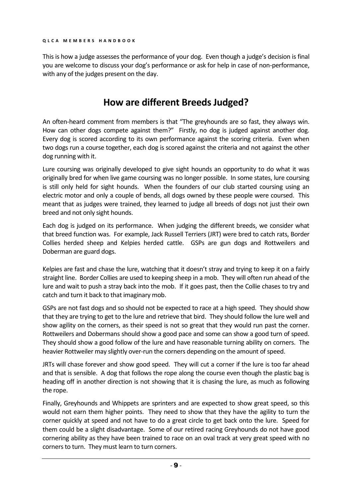This is how a judge assesses the performance of your dog. Even though a judge's decision is final you are welcome to discuss your dog's performance or ask for help in case of non-performance, with any of the judges present on the day.

# **How are different Breeds Judged?**

An often-heard comment from members is that "The greyhounds are so fast, they always win. How can other dogs compete against them?" Firstly, no dog is judged against another dog. Every dog is scored according to its own performance against the scoring criteria. Even when two dogs run a course together, each dog is scored against the criteria and not against the other dog running with it.

Lure coursing was originally developed to give sight hounds an opportunity to do what it was originally bred for when live game coursing was no longer possible. In some states, lure coursing is still only held for sight hounds. When the founders of our club started coursing using an electric motor and only a couple of bends, all dogs owned by these people were coursed. This meant that as judges were trained, they learned to judge all breeds of dogs not just their own breed and not only sight hounds.

Each dog is judged on its performance. When judging the different breeds, we consider what that breed function was. For example, Jack Russell Terriers (JRT) were bred to catch rats, Border Collies herded sheep and Kelpies herded cattle. GSPs are gun dogs and Rottweilers and Doberman are guard dogs.

Kelpies are fast and chase the lure, watching that it doesn't stray and trying to keep it on a fairly straight line. Border Collies are used to keeping sheep in a mob. They will often run ahead of the lure and wait to push a stray back into the mob. If it goes past, then the Collie chases to try and catch and turn it back to that imaginary mob.

GSPs are not fast dogs and so should not be expected to race at a high speed. They should show that they are trying to get to the lure and retrieve that bird. They should follow the lure well and show agility on the corners, as their speed is not so great that they would run past the corner. Rottweilers and Dobermans should show a good pace and some can show a good turn of speed. They should show a good follow of the lure and have reasonable turning ability on corners. The heavier Rottweiler may slightly over-run the corners depending on the amount of speed.

JRTs will chase forever and show good speed. They will cut a corner if the lure is too far ahead and that is sensible. A dog that follows the rope along the course even though the plastic bag is heading off in another direction is not showing that it is chasing the lure, as much as following the rope.

Finally, Greyhounds and Whippets are sprinters and are expected to show great speed, so this would not earn them higher points. They need to show that they have the agility to turn the corner quickly at speed and not have to do a great circle to get back onto the lure. Speed for them could be a slight disadvantage. Some of our retired racing Greyhounds do not have good cornering ability as they have been trained to race on an oval track at very great speed with no corners to turn. They must learn to turn corners.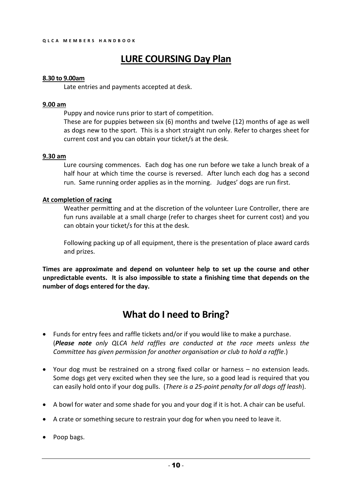# **LURE COURSING Day Plan**

#### **8.30 to 9.00am**

Late entries and payments accepted at desk.

#### **9.00 am**

Puppy and novice runs prior to start of competition.

These are for puppies between six (6) months and twelve (12) months of age as well as dogs new to the sport. This is a short straight run only. Refer to charges sheet for current cost and you can obtain your ticket/s at the desk.

#### **9.30 am**

Lure coursing commences. Each dog has one run before we take a lunch break of a half hour at which time the course is reversed. After lunch each dog has a second run. Same running order applies as in the morning. Judges' dogs are run first.

#### **At completion of racing**

Weather permitting and at the discretion of the volunteer Lure Controller, there are fun runs available at a small charge (refer to charges sheet for current cost) and you can obtain your ticket/s for this at the desk.

Following packing up of all equipment, there is the presentation of place award cards and prizes.

**Times are approximate and depend on volunteer help to set up the course and other unpredictable events. It is also impossible to state a finishing time that depends on the number of dogs entered for the day.**

## **What do I need to Bring?**

- Funds for entry fees and raffle tickets and/or if you would like to make a purchase. (*Please note only QLCA held raffles are conducted at the race meets unless the Committee has given permission for another organisation or club to hold a raffle*.)
- Your dog must be restrained on a strong fixed collar or harness no extension leads. Some dogs get very excited when they see the lure, so a good lead is required that you can easily hold onto if your dog pulls. (*There is a 25-point penalty for all dogs off leash*).
- A bowl for water and some shade for you and your dog if it is hot. A chair can be useful.
- A crate or something secure to restrain your dog for when you need to leave it.
- Poop bags.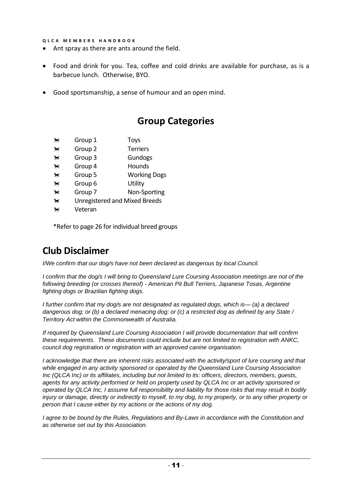- Ant spray as there are ants around the field.
- Food and drink for you. Tea, coffee and cold drinks are available for purchase, as is a barbecue lunch. Otherwise, BYO.
- Good sportsmanship, a sense of humour and an open mind.

### **Group Categories**

- <del>■</del> Group 1 Toys
- **1** Group 2 Terriers
- **1** Group 3 Gundogs
- **★ Group 4** Hounds
- <del>■</del> Group 5 Working Dogs
- <del>★★</del> Group 6 Utility
- Group 7 Non-Sporting
- <del>■</del> Unregistered and Mixed Breeds
- <del>★</del> Veteran

\*Refer to page 26 for individual breed groups

## **Club Disclaimer**

*I/We confirm that our dog/s have not been declared as dangerous by local Council.*

I *confirm that the dog/s I will bring to Queensland Lure Coursing Association meetings are not of the following breeding (or crosses thereof) - American Pit Bull Terriers, Japanese Tosas, Argentine fighting dogs or Brazilian fighting dogs.* 

*I further confirm that my dog/s are not designated as regulated dogs, which is— (a) a declared dangerous dog; or (b) a declared menacing dog; or (c) a restricted dog as defined by any State / Territory Act within the Commonwealth of Australia.*

*If required by Queensland Lure Coursing Association I will provide documentation that will confirm these requirements. These documents could include but are not limited to registration with ANKC, council dog registration or registration with an approved canine organisation.* 

*I acknowledge that there are inherent risks associated with the activity/sport of lure coursing and that while engaged in any activity sponsored or operated by the Queensland Lure Coursing Association Inc (QLCA Inc) or its affiliates, including but not limited to its: officers, directors, members, guests, agents for any activity performed or held on property used by QLCA Inc or an activity sponsored or operated by QLCA Inc, I assume full responsibility and liability for those risks that may result in bodily injury or damage, directly or indirectly to myself, to my dog, to my property, or to any other property or person that I cause either by my actions or the actions of my dog.*

*I agree to be bound by the Rules, Regulations and By-Laws in accordance with the Constitution and as otherwise set out by this Association.*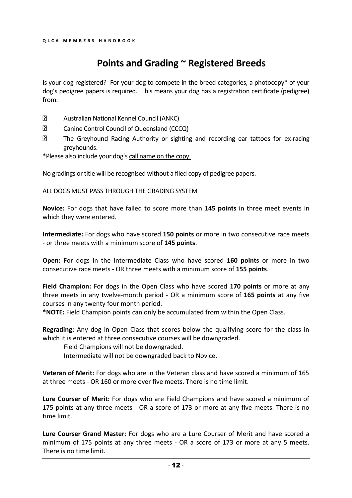# **Points and Grading ~ Registered Breeds**

Is your dog registered? For your dog to compete in the breed categories, a photocopy\* of your dog's pedigree papers is required. This means your dog has a registration certificate (pedigree) from:

- $\overline{?}$ Australian National Kennel Council (ANKC)
- $\overline{?}$ Canine Control Council of Queensland (CCCQ)
- $\overline{2}$ The Greyhound Racing Authority or sighting and recording ear tattoos for ex-racing greyhounds.
- \*Please also include your dog's call name on the copy.

No gradings or title will be recognised without a filed copy of pedigree papers.

ALL DOGS MUST PASS THROUGH THE GRADING SYSTEM

**Novice:** For dogs that have failed to score more than **145 points** in three meet events in which they were entered.

**Intermediate:** For dogs who have scored **150 points** or more in two consecutive race meets - or three meets with a minimum score of **145 points**.

**Open:** For dogs in the Intermediate Class who have scored **160 points** or more in two consecutive race meets - OR three meets with a minimum score of **155 points**.

**Field Champion:** For dogs in the Open Class who have scored **170 points** or more at any three meets in any twelve-month period - OR a minimum score of **165 points** at any five courses in any twenty four month period.

**\*NOTE:** Field Champion points can only be accumulated from within the Open Class.

**Regrading:** Any dog in Open Class that scores below the qualifying score for the class in which it is entered at three consecutive courses will be downgraded.

Field Champions will not be downgraded.

Intermediate will not be downgraded back to Novice.

**Veteran of Merit:** For dogs who are in the Veteran class and have scored a minimum of 165 at three meets - OR 160 or more over five meets. There is no time limit.

**Lure Courser of Merit:** For dogs who are Field Champions and have scored a minimum of 175 points at any three meets - OR a score of 173 or more at any five meets. There is no time limit.

**Lure Courser Grand Master**: For dogs who are a Lure Courser of Merit and have scored a minimum of 175 points at any three meets - OR a score of 173 or more at any 5 meets. There is no time limit.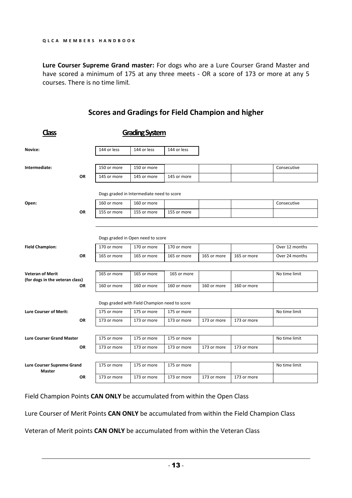**Lure Courser Supreme Grand master:** For dogs who are a Lure Courser Grand Master and have scored a minimum of 175 at any three meets - OR a score of 173 or more at any 5 courses. There is no time limit.

## **Class Grading System** Novice: 144 or less 144 or less 144 or less 144 or less **Intermediate:** 150 or more 150 or more Consecutive Consecutive Consecutive Consecutive **OR** 145 or more 145 or more 145 or more Dogs graded in Intermediate need to score **Open:** 160 or more 160 or more Consecutive Consecutive Consecutive Consecutive **OR** 155 or more 155 or more 155 or more Dogs graded in Open need to score **Field Champion:** 170 or more 170 or more 170 or more 170 or more 1170 or more 1170 or more 1170 or more 1170 or more **OR** 165 or more 165 or more 165 or more 165 or more 165 or more Over 24 months **Veteran of Merit (for dogs in the veteran class)** 165 or more 165 or more 165 or more 165 or more No time limit **OR** 160 or more 160 or more 160 or more 160 or more 160 or more Dogs graded with Field Champion need to score **Lure Courser of Merit:** 175 or more 175 or more 175 or more 175 or more 175 or more 175 or more 175 or more 175 or more **OR** 173 or more 173 or more 173 or more 173 or more 173 or more **Lure Courser Grand Master** | 175 or more | 175 or more | 175 or more | No time limit **OR** 173 or more 173 or more 173 or more 173 or more 173 or more **Lure Courser Supreme Grand Master** 175 or more 175 or more 175 or more 175 or more 175 or more No time limit **OR** 173 or more 173 or more 173 or more 173 or more 173 or more

**Scores and Gradings for Field Champion and higher**

Field Champion Points **CAN ONLY** be accumulated from within the Open Class

Lure Courser of Merit Points **CAN ONLY** be accumulated from within the Field Champion Class

Veteran of Merit points **CAN ONLY** be accumulated from within the Veteran Class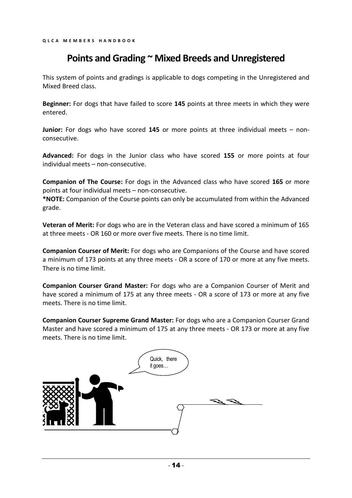### **Points and Grading ~ Mixed Breeds and Unregistered**

This system of points and gradings is applicable to dogs competing in the Unregistered and Mixed Breed class.

**Beginner:** For dogs that have failed to score **145** points at three meets in which they were entered.

**Junior:** For dogs who have scored **145** or more points at three individual meets – nonconsecutive.

**Advanced:** For dogs in the Junior class who have scored **155** or more points at four individual meets – non-consecutive.

**Companion of The Course:** For dogs in the Advanced class who have scored **165** or more points at four individual meets – non-consecutive.

**\*NOTE:** Companion of the Course points can only be accumulated from within the Advanced grade.

**Veteran of Merit:** For dogs who are in the Veteran class and have scored a minimum of 165 at three meets - OR 160 or more over five meets. There is no time limit.

**Companion Courser of Merit:** For dogs who are Companions of the Course and have scored a minimum of 173 points at any three meets - OR a score of 170 or more at any five meets. There is no time limit.

**Companion Courser Grand Master:** For dogs who are a Companion Courser of Merit and have scored a minimum of 175 at any three meets - OR a score of 173 or more at any five meets. There is no time limit.

**Companion Courser Supreme Grand Master:** For dogs who are a Companion Courser Grand Master and have scored a minimum of 175 at any three meets - OR 173 or more at any five meets. There is no time limit.

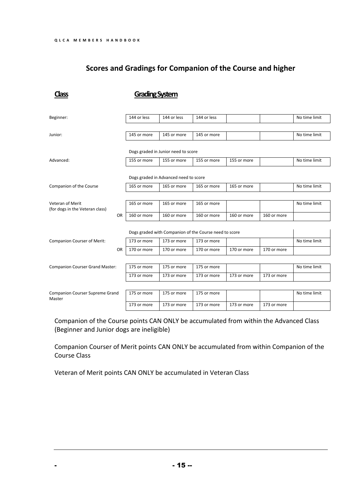### **Scores and Gradings for Companion of the Course and higher**

**Class Grading System** Beginner: 144 or less 144 or less 144 or less No time limit Junior: 145 or more 145 or more 145 or more No time limit Dogs graded in Junior need to score Advanced: 155 or more 155 or more 155 or more 155 or more No time limit Dogs graded in Advanced need to score Companion of the Course 165 or more 165 or more 165 or more 165 or more 165 or more No time limit Veteran of Merit (for dogs in the Veteran class) 165 or more 165 or more 165 or more 165 or more OR 160 or more 160 or more 160 or more 160 or more 160 or more Dogs graded with Companion of the Course need to score Companion Courser of Merit: 173 or more 173 or more 173 or more 1173 or more No time limit OR 170 or more 170 or more 170 or more 170 or more 170 or more Companion Courser Grand Master: 175 or more 175 or more 175 or more 1175 or more 1 173 or more 173 or more 173 or more 173 or more 173 or more Companion Courser Supreme Grand Master 175 or more 175 or more 175 or more 1 and 175 or more 1 173 or more 173 or more 173 or more 173 or more 173 or more

Companion of the Course points CAN ONLY be accumulated from within the Advanced Class (Beginner and Junior dogs are ineligible)

Companion Courser of Merit points CAN ONLY be accumulated from within Companion of the Course Class

Veteran of Merit points CAN ONLY be accumulated in Veteran Class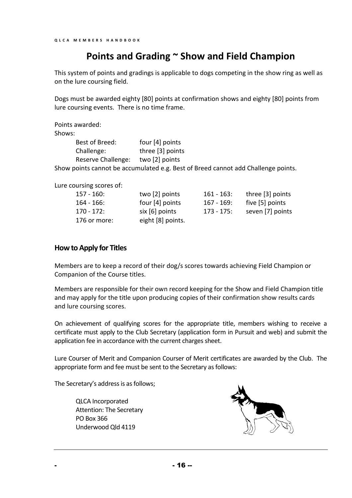### **Points and Grading ~ Show and Field Champion**

This system of points and gradings is applicable to dogs competing in the show ring as well as on the lure coursing field.

Dogs must be awarded eighty [80] points at confirmation shows and eighty [80] points from lure coursing events. There is no time frame.

Points awarded:

Shows:

| Best of Breed:     | four $[4]$ points                                                                 |
|--------------------|-----------------------------------------------------------------------------------|
| Challenge:         | three [3] points                                                                  |
| Reserve Challenge: | two [2] points                                                                    |
|                    | Show points cannot be accumulated e.g. Best of Breed cannot add Challenge points. |

Lure coursing scores of:

| $157 - 160$ : | two [2] points    | $161 - 163$ : | three [3] points |
|---------------|-------------------|---------------|------------------|
| $164 - 166$ : | four $[4]$ points | $167 - 169$ : | five [5] points  |
| $170 - 172$ : | six [6] points    | $173 - 175$ : | seven [7] points |
| 176 or more:  | eight [8] points. |               |                  |

#### **How to Apply for Titles**

Members are to keep a record of their dog/s scores towards achieving Field Champion or Companion of the Course titles.

Members are responsible for their own record keeping for the Show and Field Champion title and may apply for the title upon producing copies of their confirmation show results cards and lure coursing scores.

On achievement of qualifying scores for the appropriate title, members wishing to receive a certificate must apply to the Club Secretary (application form in Pursuit and web) and submit the application fee in accordance with the current charges sheet.

Lure Courser of Merit and Companion Courser of Merit certificates are awarded by the Club. The appropriate form and fee must be sent to the Secretary as follows:

The Secretary's address is as follows;

QLCA Incorporated Attention: The Secretary PO Box 366 Underwood Qld 4119

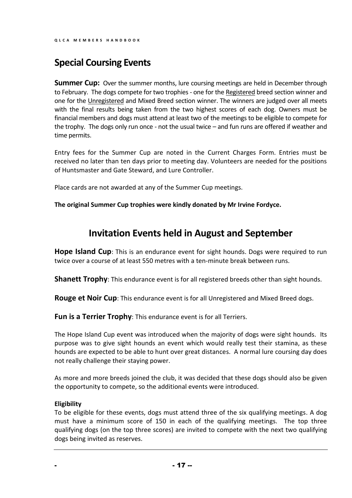# **Special Coursing Events**

**Summer Cup:** Over the summer months, lure coursing meetings are held in December through to February. The dogs compete for two trophies - one for the Registered breed section winner and one for the Unregistered and Mixed Breed section winner. The winners are judged over all meets with the final results being taken from the two highest scores of each dog. Owners must be financial members and dogs must attend at least two of the meetings to be eligible to compete for the trophy. The dogs only run once - not the usual twice – and fun runs are offered if weather and time permits.

Entry fees for the Summer Cup are noted in the Current Charges Form. Entries must be received no later than ten days prior to meeting day. Volunteers are needed for the positions of Huntsmaster and Gate Steward, and Lure Controller.

Place cards are not awarded at any of the Summer Cup meetings.

**The original Summer Cup trophies were kindly donated by Mr Irvine Fordyce.**

# **Invitation Events held in August and September**

**Hope Island Cup**: This is an endurance event for sight hounds. Dogs were required to run twice over a course of at least 550 metres with a ten-minute break between runs.

**Shanett Trophy**: This endurance event is for all registered breeds other than sight hounds.

**Rouge et Noir Cup**: This endurance event is for all Unregistered and Mixed Breed dogs.

**Fun is a Terrier Trophy:** This endurance event is for all Terriers.

The Hope Island Cup event was introduced when the majority of dogs were sight hounds. Its purpose was to give sight hounds an event which would really test their stamina, as these hounds are expected to be able to hunt over great distances. A normal lure coursing day does not really challenge their staying power.

As more and more breeds joined the club, it was decided that these dogs should also be given the opportunity to compete, so the additional events were introduced.

#### **Eligibility**

To be eligible for these events, dogs must attend three of the six qualifying meetings. A dog must have a minimum score of 150 in each of the qualifying meetings. The top three qualifying dogs (on the top three scores) are invited to compete with the next two qualifying dogs being invited as reserves.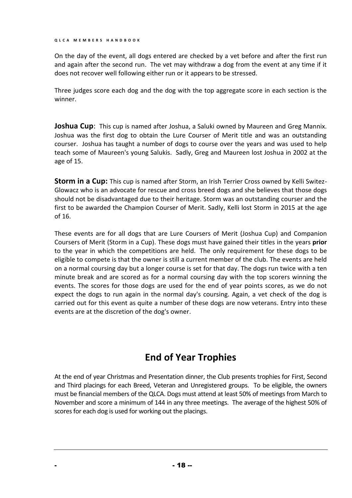On the day of the event, all dogs entered are checked by a vet before and after the first run and again after the second run. The vet may withdraw a dog from the event at any time if it does not recover well following either run or it appears to be stressed.

Three judges score each dog and the dog with the top aggregate score in each section is the winner.

**Joshua Cup**: This cup is named after Joshua, a Saluki owned by Maureen and Greg Mannix. Joshua was the first dog to obtain the Lure Courser of Merit title and was an outstanding courser. Joshua has taught a number of dogs to course over the years and was used to help teach some of Maureen's young Salukis. Sadly, Greg and Maureen lost Joshua in 2002 at the age of 15.

**Storm in a Cup:** This cup is named after Storm, an Irish Terrier Cross owned by Kelli Switez-Glowacz who is an advocate for rescue and cross breed dogs and she believes that those dogs should not be disadvantaged due to their heritage. Storm was an outstanding courser and the first to be awarded the Champion Courser of Merit. Sadly, Kelli lost Storm in 2015 at the age of 16.

These events are for all dogs that are Lure Coursers of Merit (Joshua Cup) and Companion Coursers of Merit (Storm in a Cup). These dogs must have gained their titles in the years **prior** to the year in which the competitions are held. The only requirement for these dogs to be eligible to compete is that the owner is still a current member of the club. The events are held on a normal coursing day but a longer course is set for that day. The dogs run twice with a ten minute break and are scored as for a normal coursing day with the top scorers winning the events. The scores for those dogs are used for the end of year points scores, as we do not expect the dogs to run again in the normal day's coursing. Again, a vet check of the dog is carried out for this event as quite a number of these dogs are now veterans. Entry into these events are at the discretion of the dog's owner.

## **End of Year Trophies**

At the end of year Christmas and Presentation dinner, the Club presents trophies for First, Second and Third placings for each Breed, Veteran and Unregistered groups. To be eligible, the owners must be financial members of the QLCA. Dogs must attend at least 50% of meetings from March to November and score a minimum of 144 in any three meetings. The average of the highest 50% of scores for each dog is used for working out the placings.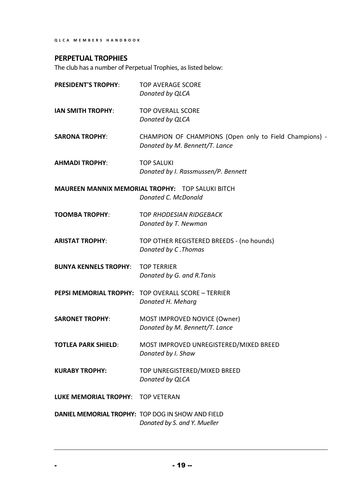### **PERPETUAL TROPHIES**

The club has a number of Perpetual Trophies, as listed below:

| <b>PRESIDENT'S TROPHY:</b>   | <b>TOP AVERAGE SCORE</b><br>Donated by QLCA                                              |
|------------------------------|------------------------------------------------------------------------------------------|
| <b>IAN SMITH TROPHY:</b>     | <b>TOP OVERALL SCORE</b><br>Donated by QLCA                                              |
| <b>SARONA TROPHY:</b>        | CHAMPION OF CHAMPIONS (Open only to Field Champions) -<br>Donated by M. Bennett/T. Lance |
| <b>AHMADI TROPHY:</b>        | <b>TOP SALUKI</b><br>Donated by I. Rassmussen/P. Bennett                                 |
|                              | <b>MAUREEN MANNIX MEMORIAL TROPHY: TOP SALUKI BITCH</b><br>Donated C. McDonald           |
| <b>TOOMBA TROPHY:</b>        | <b>TOP RHODESIAN RIDGEBACK</b><br>Donated by T. Newman                                   |
| <b>ARISTAT TROPHY:</b>       | TOP OTHER REGISTERED BREEDS - (no hounds)<br>Donated by C. Thomas                        |
| <b>BUNYA KENNELS TROPHY:</b> | <b>TOP TERRIER</b><br>Donated by G. and R. Tanis                                         |
|                              | <b>PEPSI MEMORIAL TROPHY: TOP OVERALL SCORE - TERRIER</b><br>Donated H. Meharg           |
| <b>SARONET TROPHY:</b>       | MOST IMPROVED NOVICE (Owner)<br>Donated by M. Bennett/T. Lance                           |
| <b>TOTLEA PARK SHIELD:</b>   | MOST IMPROVED UNREGISTERED/MIXED BREED<br>Donated by I. Shaw                             |
| <b>KURABY TROPHY:</b>        | TOP UNREGISTERED/MIXED BREED<br>Donated by QLCA                                          |
| <b>LUKE MEMORIAL TROPHY:</b> | <b>TOP VETERAN</b>                                                                       |
|                              | DANIEL MEMORIAL TROPHY: TOP DOG IN SHOW AND FIELD<br>Donated by S. and Y. Mueller        |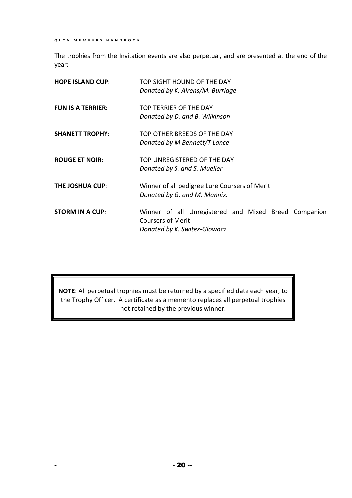The trophies from the Invitation events are also perpetual, and are presented at the end of the year:

| <b>HOPE ISLAND CUP:</b>  | TOP SIGHT HOUND OF THE DAY<br>Donated by K. Airens/M. Burridge                                                   |
|--------------------------|------------------------------------------------------------------------------------------------------------------|
| <b>FUN IS A TERRIER:</b> | TOP TERRIER OF THE DAY<br>Donated by D. and B. Wilkinson                                                         |
| <b>SHANETT TROPHY:</b>   | TOP OTHER BREEDS OF THE DAY<br>Donated by M Bennett/T Lance                                                      |
| <b>ROUGE ET NOIR:</b>    | TOP UNREGISTERED OF THE DAY<br>Donated by S. and S. Mueller                                                      |
| <b>THE JOSHUA CUP:</b>   | Winner of all pedigree Lure Coursers of Merit<br>Donated by G. and M. Mannix.                                    |
| <b>STORM IN A CUP:</b>   | Winner of all Unregistered and Mixed Breed Companion<br><b>Coursers of Merit</b><br>Donated by K. Switez-Glowacz |

**NOTE**: All perpetual trophies must be returned by a specified date each year, to the Trophy Officer. A certificate as a memento replaces all perpetual trophies not retained by the previous winner.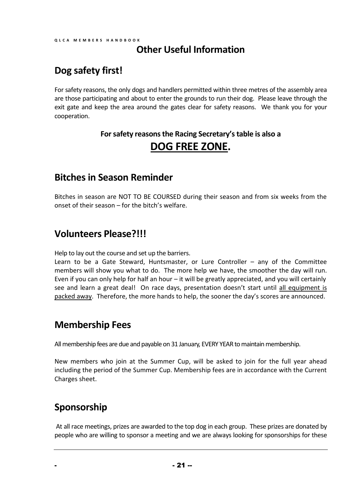### **Other Useful Information**

### **Dog safety first!**

For safety reasons, the only dogs and handlers permitted within three metres of the assembly area are those participating and about to enter the grounds to run their dog. Please leave through the exit gate and keep the area around the gates clear for safety reasons. We thank you for your cooperation.

### **For safety reasons the Racing Secretary's table is also a DOG FREE ZONE.**

### **Bitches in Season Reminder**

Bitches in season are NOT TO BE COURSED during their season and from six weeks from the onset of their season – for the bitch's welfare.

### **Volunteers Please?!!!**

Help to lay out the course and set up the barriers.

Learn to be a Gate Steward, Huntsmaster, or Lure Controller – any of the Committee members will show you what to do. The more help we have, the smoother the day will run. Even if you can only help for half an hour – it will be greatly appreciated, and you will certainly see and learn a great deal! On race days, presentation doesn't start until all equipment is packed away. Therefore, the more hands to help, the sooner the day's scores are announced.

### **Membership Fees**

All membership fees are due and payable on 31 January, EVERY YEAR to maintain membership.

New members who join at the Summer Cup, will be asked to join for the full year ahead including the period of the Summer Cup. Membership fees are in accordance with the Current Charges sheet.

## **Sponsorship**

At all race meetings, prizes are awarded to the top dog in each group. These prizes are donated by people who are willing to sponsor a meeting and we are always looking for sponsorships for these

 $- 21 -$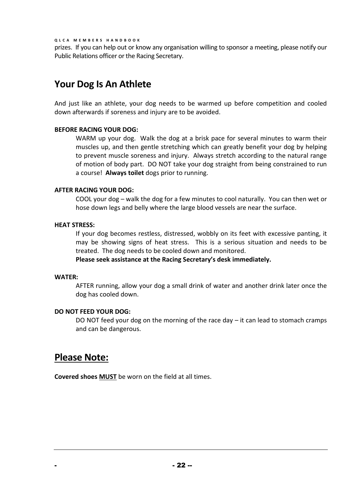prizes. If you can help out or know any organisation willing to sponsor a meeting, please notify our Public Relations officer or the Racing Secretary.

## **Your Dog Is An Athlete**

And just like an athlete, your dog needs to be warmed up before competition and cooled down afterwards if soreness and injury are to be avoided.

#### **BEFORE RACING YOUR DOG:**

WARM up your dog. Walk the dog at a brisk pace for several minutes to warm their muscles up, and then gentle stretching which can greatly benefit your dog by helping to prevent muscle soreness and injury. Always stretch according to the natural range of motion of body part. DO NOT take your dog straight from being constrained to run a course! **Always toilet** dogs prior to running.

#### **AFTER RACING YOUR DOG:**

COOL your dog – walk the dog for a few minutes to cool naturally. You can then wet or hose down legs and belly where the large blood vessels are near the surface.

#### **HEAT STRESS:**

If your dog becomes restless, distressed, wobbly on its feet with excessive panting, it may be showing signs of heat stress. This is a serious situation and needs to be treated. The dog needs to be cooled down and monitored.

**Please seek assistance at the Racing Secretary's desk immediately.**

#### **WATER:**

AFTER running, allow your dog a small drink of water and another drink later once the dog has cooled down.

#### **DO NOT FEED YOUR DOG:**

DO NOT feed your dog on the morning of the race day  $-$  it can lead to stomach cramps and can be dangerous.

### **Please Note:**

**Covered shoes MUST** be worn on the field at all times.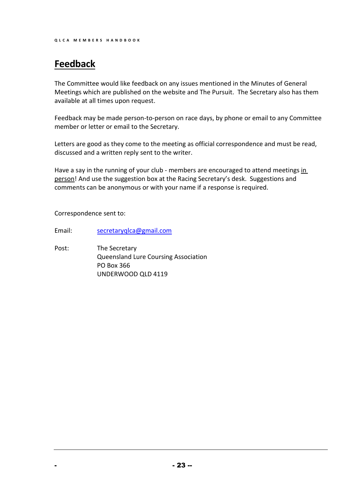# **Feedback**

The Committee would like feedback on any issues mentioned in the Minutes of General Meetings which are published on the website and The Pursuit. The Secretary also has them available at all times upon request.

Feedback may be made person-to-person on race days, by phone or email to any Committee member or letter or email to the Secretary.

Letters are good as they come to the meeting as official correspondence and must be read, discussed and a written reply sent to the writer.

Have a say in the running of your club - members are encouraged to attend meetings in person! And use the suggestion box at the Racing Secretary's desk. Suggestions and comments can be anonymous or with your name if a response is required.

Correspondence sent to:

Email: [secretaryqlca@gmail.com](mailto:secretaryqlca@gmail.com)

Post: The Secretary Queensland Lure Coursing Association PO Box 366 UNDERWOOD QLD 4119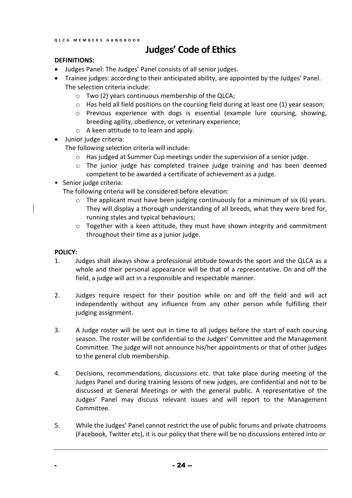# **Judges' Code of Ethics**

#### **DEFINITIONS:**

- Judges Panel: The Judges' Panel consists of all senior judges.
- Trainee judges: according to their anticipated ability, are appointed by the Judges' Panel. The selection criteria include:
	- o Two (2) years continuous membership of the QLCA;
	- $\circ$  Has held all field positions on the coursing field during at least one (1) year season;
	- o Previous experience with dogs is essential (example lure coursing, showing, breeding agility, obedience, or veterinary experience;
	- o A keen attitude to to learn and apply.
- Junior judge criteria:

The following selection criteria will include:

- o Has judged at Summer Cup meetings under the supervision of a senior judge.
- $\circ$  The junior judge has completed trainee judge training and has been deemed competent to be awarded a certificate of achievement as a judge.
- Senior judge criteria:

The following criteria will be considered before elevation:

- o The applicant must have been judging continuously for a minimum of six (6) years. They will display a thorough understanding of all breeds, what they were bred for, running styles and typical behaviours;
- o Together with a keen attitude, they must have shown integrity and commitment throughout their time as a junior judge.

#### **POLICY:**

- 1. Judges shall always show a professional attitude towards the sport and the QLCA as a whole and their personal appearance will be that of a representative. On and off the field, a judge will act in a responsible and respectable manner.
- 2. Judges require respect for their position while on and off the field and will act independently without any influence from any other person while fulfilling their judging assignment.
- 3. A Judge roster will be sent out in time to all judges before the start of each coursing season. The roster will be confidential to the Judges' Committee and the Management Committee. The judge will not announce his/her appointments or that of other judges to the general club membership.
- 4. Decisions, recommendations, discussions etc. that take place during meeting of the Judges Panel and during training lessons of new judges, are confidential and not to be discussed at General Meetings or with the general public. A representative of the Judges' Panel may discuss relevant issues and will report to the Management Committee.
- 5. While the Judges' Panel cannot restrict the use of public forums and private chatrooms (Facebook, Twitter etc), it is our policy that there will be no discussions entered into or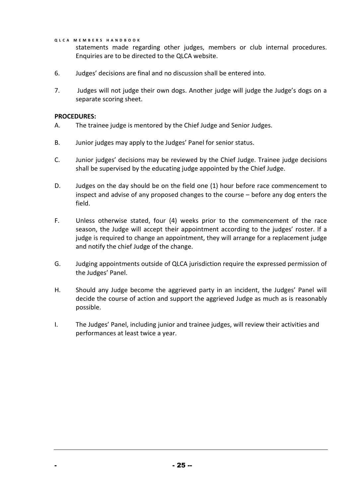statements made regarding other judges, members or club internal procedures. Enquiries are to be directed to the QLCA website.

- 6. Judges' decisions are final and no discussion shall be entered into.
- 7. Judges will not judge their own dogs. Another judge will judge the Judge's dogs on a separate scoring sheet.

#### **PROCEDURES:**

- A. The trainee judge is mentored by the Chief Judge and Senior Judges.
- B. Junior judges may apply to the Judges' Panel for senior status.
- C. Junior judges' decisions may be reviewed by the Chief Judge. Trainee judge decisions shall be supervised by the educating judge appointed by the Chief Judge.
- D. Judges on the day should be on the field one (1) hour before race commencement to inspect and advise of any proposed changes to the course – before any dog enters the field.
- F. Unless otherwise stated, four (4) weeks prior to the commencement of the race season, the Judge will accept their appointment according to the judges' roster. If a judge is required to change an appointment, they will arrange for a replacement judge and notify the chief Judge of the change.
- G. Judging appointments outside of QLCA jurisdiction require the expressed permission of the Judges' Panel.
- H. Should any Judge become the aggrieved party in an incident, the Judges' Panel will decide the course of action and support the aggrieved Judge as much as is reasonably possible.
- I. The Judges' Panel, including junior and trainee judges, will review their activities and performances at least twice a year.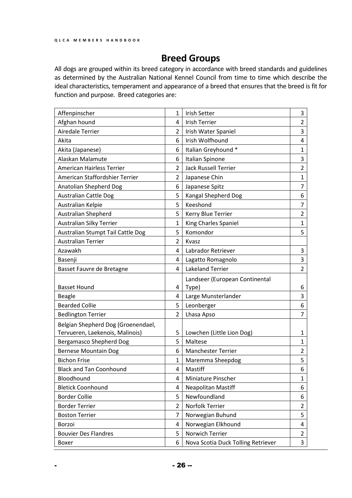### **Breed Groups**

All dogs are grouped within its breed category in accordance with breed standards and guidelines as determined by the Australian National Kennel Council from time to time which describe the ideal characteristics, temperament and appearance of a breed that ensures that the breed is fit for function and purpose. Breed categories are:

| Affenpinscher                      | 1              | <b>Irish Setter</b>                | 3              |
|------------------------------------|----------------|------------------------------------|----------------|
| Afghan hound                       | 4              | <b>Irish Terrier</b>               | 2              |
| <b>Airedale Terrier</b>            | $\overline{2}$ | <b>Irish Water Spaniel</b>         | 3              |
| Akita                              | 6              | Irish Wolfhound                    | 4              |
| Akita (Japanese)                   | 6              | Italian Greyhound *                | $\mathbf{1}$   |
| Alaskan Malamute                   | 6              | Italian Spinone                    | 3              |
| American Hairless Terrier          | 2              | <b>Jack Russell Terrier</b>        | $\overline{2}$ |
| American Staffordshier Terrier     | $\overline{2}$ | Japanese Chin                      | $\mathbf{1}$   |
| Anatolian Shepherd Dog             | 6              | Japanese Spitz                     | $\overline{7}$ |
| <b>Australian Cattle Dog</b>       | 5              | Kangal Shepherd Dog                | 6              |
| Australian Kelpie                  | 5              | Keeshond                           | $\overline{7}$ |
| <b>Australian Shepherd</b>         | 5              | Kerry Blue Terrier                 | $\overline{2}$ |
| Australian Silky Terrier           | $\mathbf{1}$   | King Charles Spaniel               | $\mathbf{1}$   |
| Australian Stumpt Tail Cattle Dog  | 5              | Komondor                           | 5              |
| <b>Australian Terrier</b>          | 2              | Kvasz                              |                |
| Azawakh                            | 4              | Labrador Retriever                 | 3              |
| Basenji                            | 4              | Lagatto Romagnolo                  | 3              |
| Basset Fauvre de Bretagne          | 4              | <b>Lakeland Terrier</b>            | $\overline{2}$ |
|                                    |                | Landseer (European Continental     |                |
| <b>Basset Hound</b>                | 4              | Type)                              | 6              |
| <b>Beagle</b>                      | 4              | Large Munsterlander                | 3              |
| <b>Bearded Collie</b>              | 5              | Leonberger                         | 6              |
| <b>Bedlington Terrier</b>          | 2              | Lhasa Apso                         | 7              |
| Belgian Shepherd Dog (Groenendael, |                |                                    |                |
| Tervueren, Laekenois, Malinois)    | 5              | Lowchen (Little Lion Dog)          | 1              |
| <b>Bergamasco Shepherd Dog</b>     | 5              | Maltese                            | $\mathbf{1}$   |
| <b>Bernese Mountain Dog</b>        | 6              | <b>Manchester Terrier</b>          | $\overline{2}$ |
| <b>Bichon Frise</b>                | 1              | Maremma Sheepdog                   | 5              |
| <b>Black and Tan Coonhound</b>     | 4              | Mastiff                            | 6              |
| Bloodhound                         | 4              | Miniature Pinscher                 | 1              |
| <b>Bletick Coonhound</b>           | 4              | <b>Neapolitan Mastiff</b>          | 6              |
| <b>Border Collie</b>               | 5              | Newfoundland                       | 6              |
| <b>Border Terrier</b>              | $\overline{2}$ | Norfolk Terrier                    | 2              |
| <b>Boston Terrier</b>              | $\overline{7}$ | Norwegian Buhund                   | 5              |
| Borzoi                             | 4              | Norwegian Elkhound                 | 4              |
| <b>Bouvier Des Flandres</b>        | 5              | Norwich Terrier                    | $\overline{2}$ |
| Boxer                              | 6              | Nova Scotia Duck Tolling Retriever | 3              |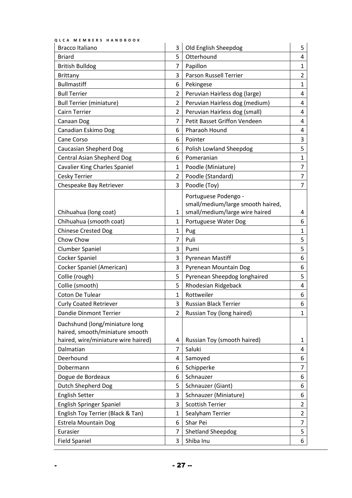| <b>Bracco Italiano</b>               | 3              | Old English Sheepdog              | 5              |
|--------------------------------------|----------------|-----------------------------------|----------------|
| <b>Briard</b>                        | 5              | Otterhound                        | 4              |
| <b>British Bulldog</b>               | 7              | Papillon                          | $\mathbf{1}$   |
| <b>Brittany</b>                      | 3              | <b>Parson Russell Terrier</b>     | $\overline{2}$ |
| <b>Bullmastiff</b>                   | 6              | Pekingese                         | $\mathbf{1}$   |
| <b>Bull Terrier</b>                  | $\overline{2}$ | Peruvian Hairless dog (large)     | 4              |
| <b>Bull Terrier (miniature)</b>      | $\overline{2}$ | Peruvian Hairless dog (medium)    | 4              |
| <b>Cairn Terrier</b>                 | $\overline{2}$ | Peruvian Hairless dog (small)     | 4              |
| Canaan Dog                           | 7              | Petit Basset Griffon Vendeen      | 4              |
| Canadian Eskimo Dog                  | 6              | Pharaoh Hound                     | 4              |
| Cane Corso                           | 6              | Pointer                           | 3              |
| Caucasian Shepherd Dog               | 6              | Polish Lowland Sheepdog           | 5              |
| <b>Central Asian Shepherd Dog</b>    | 6              | Pomeranian                        | $\mathbf{1}$   |
| <b>Cavalier King Charles Spaniel</b> | 1              | Poodle (Miniature)                | 7              |
| <b>Cesky Terrier</b>                 | $\overline{2}$ | Poodle (Standard)                 | $\overline{7}$ |
| Chespeake Bay Retriever              | 3              | Poodle (Toy)                      | $\overline{7}$ |
|                                      |                | Portuguese Podengo -              |                |
|                                      |                | small/medium/large smooth haired, |                |
| Chihuahua (long coat)                | 1              | small/medium/large wire haired    | 4              |
| Chihuahua (smooth coat)              | $\mathbf{1}$   | Portuguese Water Dog              | 6              |
| <b>Chinese Crested Dog</b>           | $\mathbf{1}$   | Pug                               | 1              |
| Chow Chow                            | $\overline{7}$ | Puli                              | 5              |
| <b>Clumber Spaniel</b>               | 3              | Pumi                              | 5              |
| <b>Cocker Spaniel</b>                | 3              | <b>Pyrenean Mastiff</b>           | 6              |
| Cocker Spaniel (American)            | 3              | Pyrenean Mountain Dog             | 6              |
| Collie (rough)                       | 5              | Pyrenean Sheepdog longhaired      | 5              |
| Collie (smooth)                      | 5              | Rhodesian Ridgeback               | 4              |
| Coton De Tulear                      | $\mathbf{1}$   | Rottweiler                        | 6              |
| <b>Curly Coated Retriever</b>        | 3              | Russian Black Terrier             | 6              |
| <b>Dandie Dinmont Terrier</b>        | $\overline{2}$ | Russian Toy (long haired)         | $\mathbf{1}$   |
| Dachshund (long/miniature long       |                |                                   |                |
| haired, smooth/miniature smooth      |                |                                   |                |
| haired, wire/miniature wire haired)  | 4              | Russian Toy (smooth haired)       | 1              |
| Dalmatian                            | $\overline{7}$ | Saluki                            | 4              |
| Deerhound                            | 4              | Samoyed                           | 6              |
| Dobermann                            | 6              | Schipperke                        | 7              |
| Dogue de Bordeaux                    | 6              | Schnauzer                         | 6              |
| Dutch Shepherd Dog                   | 5              | Schnauzer (Giant)                 | 6              |
| <b>English Setter</b>                | 3              | Schnauzer (Miniature)             | 6              |
| <b>English Springer Spaniel</b>      | 3              | <b>Scottish Terrier</b>           | $\overline{2}$ |
| English Toy Terrier (Black & Tan)    | 1              | Sealyham Terrier                  | $\overline{2}$ |
| <b>Estrela Mountain Dog</b>          | 6              | Shar Pei                          | $\overline{7}$ |
| Eurasier                             | 7              | <b>Shetland Sheepdog</b>          | 5              |
| <b>Field Spaniel</b>                 | 3              | Shiba Inu                         | 6              |